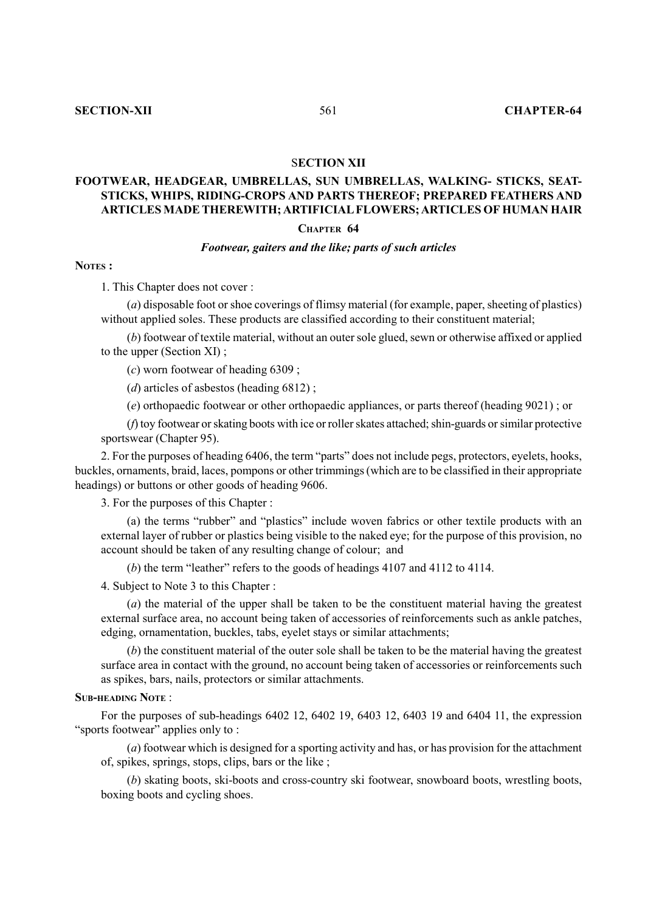## S**ECTION XII**

# **FOOTWEAR, HEADGEAR, UMBRELLAS, SUN UMBRELLAS, WALKING- STICKS, SEAT-STICKS, WHIPS, RIDING-CROPS AND PARTS THEREOF; PREPARED FEATHERS AND ARTICLES MADE THEREWITH; ARTIFICIAL FLOWERS; ARTICLES OF HUMAN HAIR**

#### **CHAPTER 64**

#### *Footwear, gaiters and the like; parts of such articles*

## **NOTES :**

1. This Chapter does not cover :

(*a*) disposable foot or shoe coverings of flimsy material (for example, paper, sheeting of plastics) without applied soles. These products are classified according to their constituent material;

(*b*) footwear of textile material, without an outer sole glued, sewn or otherwise affixed or applied to the upper (Section XI) ;

(*c*) worn footwear of heading 6309 ;

(*d*) articles of asbestos (heading 6812) ;

(*e*) orthopaedic footwear or other orthopaedic appliances, or parts thereof (heading 9021) ; or

(*f*) toy footwear or skating boots with ice or roller skates attached; shin-guards or similar protective sportswear (Chapter 95).

2. For the purposes of heading 6406, the term "parts" does not include pegs, protectors, eyelets, hooks, buckles, ornaments, braid, laces, pompons or other trimmings (which are to be classified in their appropriate headings) or buttons or other goods of heading 9606.

3. For the purposes of this Chapter :

(a) the terms "rubber" and "plastics" include woven fabrics or other textile products with an external layer of rubber or plastics being visible to the naked eye; for the purpose of this provision, no account should be taken of any resulting change of colour; and

(*b*) the term "leather" refers to the goods of headings 4107 and 4112 to 4114.

4. Subject to Note 3 to this Chapter :

(*a*) the material of the upper shall be taken to be the constituent material having the greatest external surface area, no account being taken of accessories of reinforcements such as ankle patches, edging, ornamentation, buckles, tabs, eyelet stays or similar attachments;

(*b*) the constituent material of the outer sole shall be taken to be the material having the greatest surface area in contact with the ground, no account being taken of accessories or reinforcements such as spikes, bars, nails, protectors or similar attachments.

### **SUB-HEADING NOTE** :

For the purposes of sub-headings 6402 12, 6402 19, 6403 12, 6403 19 and 6404 11, the expression "sports footwear" applies only to :

(*a*) footwear which is designed for a sporting activity and has, or has provision for the attachment of, spikes, springs, stops, clips, bars or the like ;

(*b*) skating boots, ski-boots and cross-country ski footwear, snowboard boots, wrestling boots, boxing boots and cycling shoes.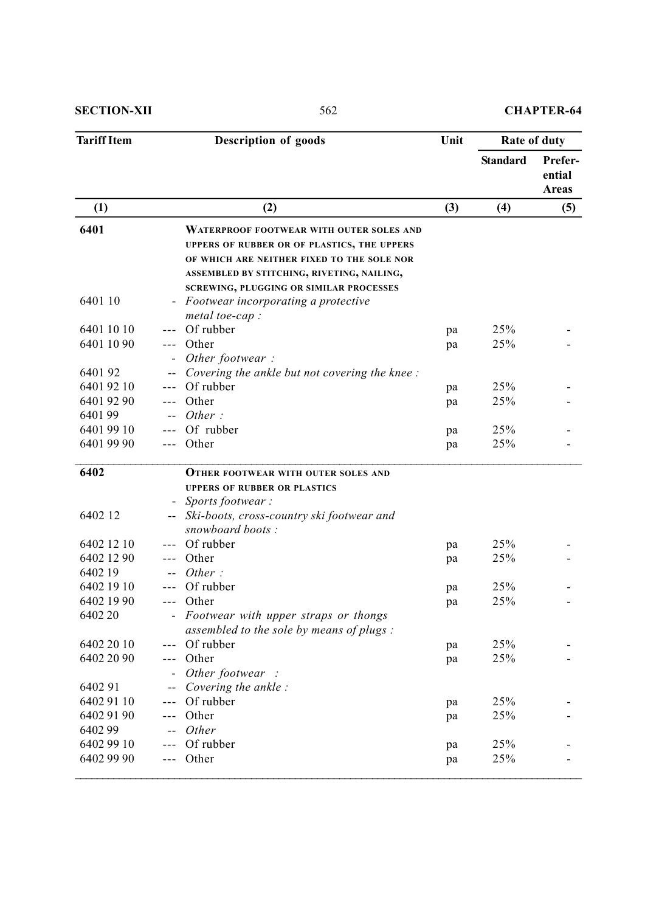**SECTION-XII** 562 **CHAPTER-64** 

| <b>Description of goods</b> | Unit                                                                                                                                                                                                                                         | Rate of duty                                                                                                                                                                                                                                                                                                 |                                  |                                 |
|-----------------------------|----------------------------------------------------------------------------------------------------------------------------------------------------------------------------------------------------------------------------------------------|--------------------------------------------------------------------------------------------------------------------------------------------------------------------------------------------------------------------------------------------------------------------------------------------------------------|----------------------------------|---------------------------------|
|                             |                                                                                                                                                                                                                                              |                                                                                                                                                                                                                                                                                                              | <b>Standard</b>                  | Prefer-<br>ential<br>Areas      |
|                             | (2)                                                                                                                                                                                                                                          | (3)                                                                                                                                                                                                                                                                                                          | (4)                              | (5)                             |
|                             | <b>WATERPROOF FOOTWEAR WITH OUTER SOLES AND</b><br>UPPERS OF RUBBER OR OF PLASTICS, THE UPPERS<br>OF WHICH ARE NEITHER FIXED TO THE SOLE NOR<br>ASSEMBLED BY STITCHING, RIVETING, NAILING,<br><b>SCREWING, PLUGGING OR SIMILAR PROCESSES</b> |                                                                                                                                                                                                                                                                                                              |                                  |                                 |
|                             | Footwear incorporating a protective                                                                                                                                                                                                          |                                                                                                                                                                                                                                                                                                              |                                  |                                 |
|                             | Of rubber                                                                                                                                                                                                                                    |                                                                                                                                                                                                                                                                                                              |                                  |                                 |
| $---$                       |                                                                                                                                                                                                                                              |                                                                                                                                                                                                                                                                                                              |                                  |                                 |
|                             |                                                                                                                                                                                                                                              |                                                                                                                                                                                                                                                                                                              |                                  |                                 |
|                             |                                                                                                                                                                                                                                              |                                                                                                                                                                                                                                                                                                              |                                  |                                 |
| $---$                       |                                                                                                                                                                                                                                              |                                                                                                                                                                                                                                                                                                              |                                  |                                 |
|                             |                                                                                                                                                                                                                                              |                                                                                                                                                                                                                                                                                                              |                                  |                                 |
|                             |                                                                                                                                                                                                                                              |                                                                                                                                                                                                                                                                                                              |                                  |                                 |
|                             |                                                                                                                                                                                                                                              |                                                                                                                                                                                                                                                                                                              |                                  |                                 |
|                             | Other                                                                                                                                                                                                                                        | pa                                                                                                                                                                                                                                                                                                           | 25%                              |                                 |
|                             | <b>OTHER FOOTWEAR WITH OUTER SOLES AND</b>                                                                                                                                                                                                   |                                                                                                                                                                                                                                                                                                              |                                  |                                 |
|                             | <b>UPPERS OF RUBBER OR PLASTICS</b>                                                                                                                                                                                                          |                                                                                                                                                                                                                                                                                                              |                                  |                                 |
|                             |                                                                                                                                                                                                                                              |                                                                                                                                                                                                                                                                                                              |                                  |                                 |
|                             | snowboard boots:                                                                                                                                                                                                                             |                                                                                                                                                                                                                                                                                                              |                                  |                                 |
|                             | Of rubber                                                                                                                                                                                                                                    | pa                                                                                                                                                                                                                                                                                                           | 25%                              |                                 |
|                             | Other                                                                                                                                                                                                                                        | pa                                                                                                                                                                                                                                                                                                           | 25%                              |                                 |
|                             | Other:                                                                                                                                                                                                                                       |                                                                                                                                                                                                                                                                                                              |                                  |                                 |
|                             |                                                                                                                                                                                                                                              | pa                                                                                                                                                                                                                                                                                                           | 25%                              |                                 |
|                             | Other                                                                                                                                                                                                                                        | pa                                                                                                                                                                                                                                                                                                           | 25%                              |                                 |
|                             |                                                                                                                                                                                                                                              |                                                                                                                                                                                                                                                                                                              |                                  |                                 |
|                             | Of rubber                                                                                                                                                                                                                                    |                                                                                                                                                                                                                                                                                                              | 25%                              |                                 |
|                             | Other                                                                                                                                                                                                                                        | pa                                                                                                                                                                                                                                                                                                           | 25%                              |                                 |
|                             | Other footwear :                                                                                                                                                                                                                             |                                                                                                                                                                                                                                                                                                              |                                  |                                 |
|                             | Covering the ankle:                                                                                                                                                                                                                          |                                                                                                                                                                                                                                                                                                              |                                  |                                 |
| $---$                       | Of rubber                                                                                                                                                                                                                                    | pa                                                                                                                                                                                                                                                                                                           | 25%                              |                                 |
| $- - -$                     | Other                                                                                                                                                                                                                                        | pa                                                                                                                                                                                                                                                                                                           | 25%                              |                                 |
|                             | Other                                                                                                                                                                                                                                        |                                                                                                                                                                                                                                                                                                              |                                  |                                 |
|                             | Of rubber                                                                                                                                                                                                                                    | pa                                                                                                                                                                                                                                                                                                           | 25%                              |                                 |
|                             | Other                                                                                                                                                                                                                                        | pa                                                                                                                                                                                                                                                                                                           | 25%                              |                                 |
|                             |                                                                                                                                                                                                                                              | metal toe-cap :<br>Other<br>Other footwear:<br>Covering the ankle but not covering the knee:<br>Of rubber<br>Other<br>Other:<br>Of rubber<br>Sports footwear:<br>Ski-boots, cross-country ski footwear and<br>Of rubber<br>Footwear with upper straps or thongs<br>assembled to the sole by means of plugs : | pa<br>pa<br>pa<br>pa<br>pa<br>pa | 25%<br>25%<br>25%<br>25%<br>25% |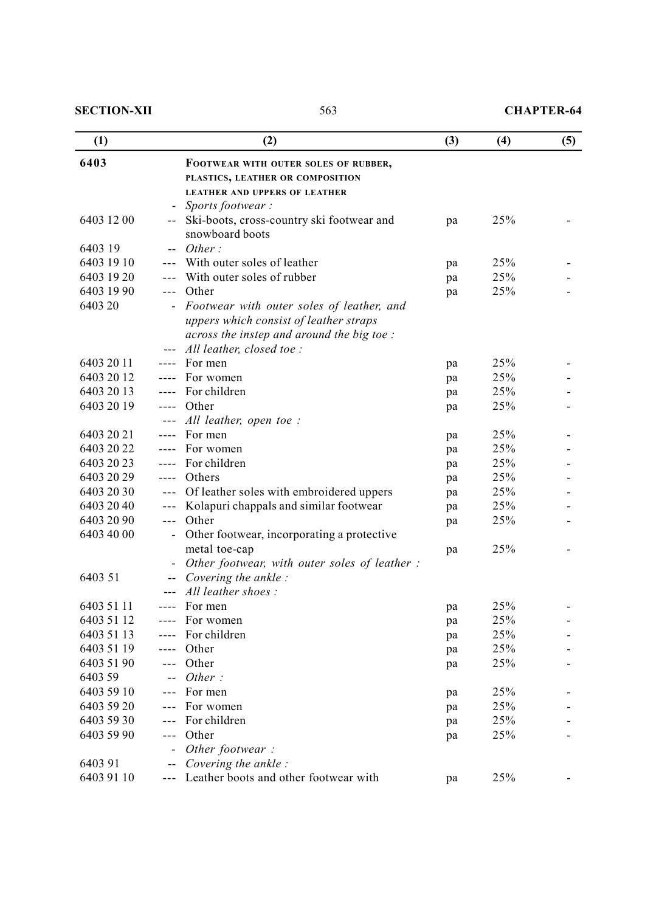**SECTION-XII** 563 **CHAPTER-64** 

| (1)        |         | (2)                                           | (3) | (4) | (5) |
|------------|---------|-----------------------------------------------|-----|-----|-----|
| 6403       |         | FOOTWEAR WITH OUTER SOLES OF RUBBER,          |     |     |     |
|            |         | PLASTICS, LEATHER OR COMPOSITION              |     |     |     |
|            |         | <b>LEATHER AND UPPERS OF LEATHER</b>          |     |     |     |
|            |         | Sports footwear:                              |     |     |     |
| 6403 12 00 | --      | Ski-boots, cross-country ski footwear and     | pa  | 25% |     |
|            |         | snowboard boots                               |     |     |     |
| 6403 19    |         | Other:                                        |     |     |     |
| 6403 19 10 |         | With outer soles of leather                   | pa  | 25% |     |
| 6403 19 20 |         | With outer soles of rubber                    | pa  | 25% |     |
| 6403 19 90 | $---$   | Other                                         | pa  | 25% |     |
| 6403 20    |         | Footwear with outer soles of leather, and     |     |     |     |
|            |         | uppers which consist of leather straps        |     |     |     |
|            |         | across the instep and around the big toe :    |     |     |     |
|            |         | All leather, closed toe:                      |     |     |     |
| 6403 20 11 |         | For men                                       | pa  | 25% |     |
| 6403 20 12 |         | For women                                     | pa  | 25% |     |
| 6403 20 13 |         | For children                                  | pa  | 25% |     |
| 6403 20 19 |         | Other                                         | pa  | 25% |     |
|            |         | All leather, open toe :                       |     |     |     |
| 6403 20 21 |         | For men                                       | pa  | 25% |     |
| 6403 20 22 |         | For women                                     | pa  | 25% |     |
| 6403 20 23 |         | For children                                  | pa  | 25% |     |
| 6403 20 29 | ----    | Others                                        | pa  | 25% |     |
| 6403 20 30 | $- - -$ | Of leather soles with embroidered uppers      | pa  | 25% |     |
| 6403 20 40 |         | Kolapuri chappals and similar footwear        | pa  | 25% |     |
| 6403 20 90 | $---$   | Other                                         | pa  | 25% |     |
| 6403 40 00 |         | Other footwear, incorporating a protective    |     |     |     |
|            |         | metal toe-cap                                 | pa  | 25% |     |
|            |         | Other footwear, with outer soles of leather : |     |     |     |
| 6403 51    |         | Covering the ankle:                           |     |     |     |
|            |         | All leather shoes:                            |     |     |     |
| 6403 51 11 |         | For men                                       | pa  | 25% |     |
| 6403 51 12 |         | For women                                     | pa  | 25% |     |
| 6403 51 13 |         | For children                                  | pa  | 25% |     |
| 6403 51 19 |         | Other                                         | pa  | 25% |     |
| 6403 51 90 | $---$   | Other                                         | pa  | 25% |     |
| 6403 59    |         | Other:                                        |     |     |     |
| 6403 59 10 |         | For men                                       | pa  | 25% |     |
| 6403 59 20 | $---$   | For women                                     | pa  | 25% |     |
| 6403 59 30 |         | For children                                  | pa  | 25% |     |
| 6403 59 90 | $---$   | Other                                         | pa  | 25% |     |
|            |         | Other footwear:                               |     |     |     |
| 6403 91    |         | Covering the ankle:                           |     |     |     |
| 6403 91 10 | $- - -$ | Leather boots and other footwear with         | pa  | 25% |     |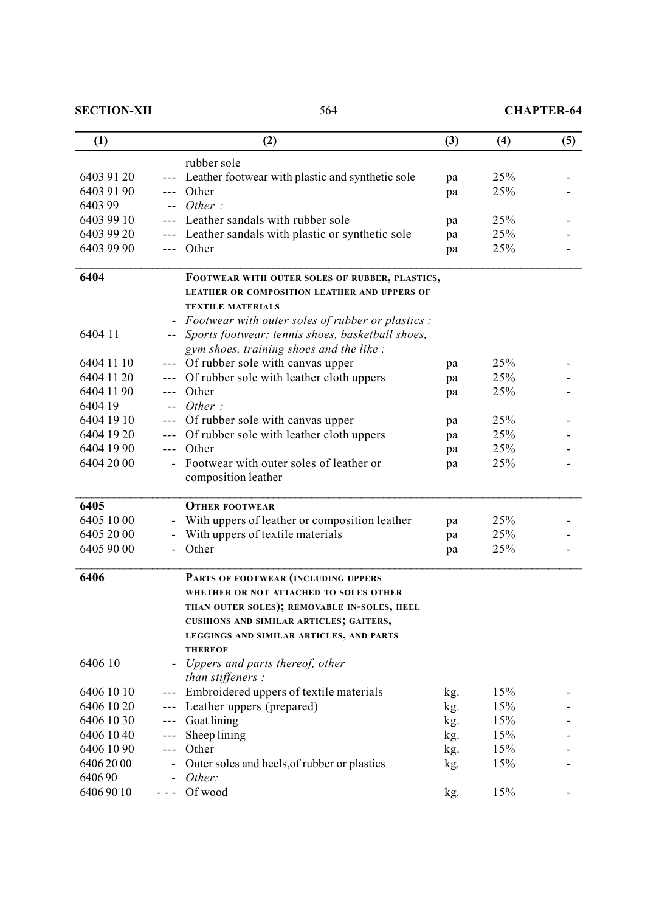**SECTION-XII** 564 **CHAPTER-64** 

| (1)        |         | (2)                                                      | (3) | (4) | (5) |
|------------|---------|----------------------------------------------------------|-----|-----|-----|
|            |         | rubber sole                                              |     |     |     |
| 6403 91 20 |         | Leather footwear with plastic and synthetic sole         | pa  | 25% |     |
| 6403 91 90 |         | Other                                                    | pa  | 25% |     |
| 6403 99    |         | Other:                                                   |     |     |     |
| 6403 99 10 |         | Leather sandals with rubber sole                         | pa  | 25% |     |
| 6403 99 20 |         | Leather sandals with plastic or synthetic sole           | pa  | 25% |     |
| 6403 99 90 | ---     | Other                                                    | pa  | 25% |     |
| 6404       |         | FOOTWEAR WITH OUTER SOLES OF RUBBER, PLASTICS,           |     |     |     |
|            |         | <b>LEATHER OR COMPOSITION LEATHER AND UPPERS OF</b>      |     |     |     |
|            |         | <b>TEXTILE MATERIALS</b>                                 |     |     |     |
|            |         | <i>Footwear with outer soles of rubber or plastics :</i> |     |     |     |
| 6404 11    |         | Sports footwear; tennis shoes, basketball shoes,         |     |     |     |
|            |         | gym shoes, training shoes and the like :                 |     |     |     |
| 6404 11 10 |         | Of rubber sole with canvas upper                         | pa  | 25% |     |
| 6404 11 20 | ---     | Of rubber sole with leather cloth uppers                 | pa  | 25% |     |
| 6404 11 90 | $---$   | Other                                                    | pa  | 25% |     |
| 6404 19    |         | Other:                                                   |     |     |     |
| 6404 19 10 |         | Of rubber sole with canvas upper                         | pa  | 25% |     |
| 6404 19 20 | $- - -$ | Of rubber sole with leather cloth uppers                 | pa  | 25% |     |
| 6404 19 90 | ---     | Other                                                    | pa  | 25% |     |
| 6404 20 00 |         | Footwear with outer soles of leather or                  | pa  | 25% |     |
|            |         | composition leather                                      |     |     |     |
| 6405       |         | <b>OTHER FOOTWEAR</b>                                    |     |     |     |
| 6405 1000  |         | With uppers of leather or composition leather            | pa  | 25% |     |
| 6405 2000  |         | With uppers of textile materials                         | pa  | 25% |     |
| 6405 90 00 |         | Other                                                    | pa  | 25% |     |
|            |         |                                                          |     |     |     |
| 6406       |         | PARTS OF FOOTWEAR (INCLUDING UPPERS                      |     |     |     |
|            |         | WHETHER OR NOT ATTACHED TO SOLES OTHER                   |     |     |     |
|            |         | THAN OUTER SOLES); REMOVABLE IN-SOLES, HEEL              |     |     |     |
|            |         | CUSHIONS AND SIMILAR ARTICLES; GAITERS,                  |     |     |     |
|            |         | LEGGINGS AND SIMILAR ARTICLES, AND PARTS                 |     |     |     |
|            |         | <b>THEREOF</b>                                           |     |     |     |
| 6406 10    |         | Uppers and parts thereof, other                          |     |     |     |
|            |         | than stiffeners :                                        |     |     |     |
| 6406 10 10 |         | Embroidered uppers of textile materials                  | kg. | 15% |     |
| 6406 10 20 |         | Leather uppers (prepared)                                | kg. | 15% |     |
| 6406 10 30 | $---$   | Goat lining                                              | kg. | 15% |     |
| 6406 1040  | ---     | Sheep lining                                             | kg. | 15% |     |
| 6406 10 90 | $- - -$ | Other                                                    | kg. | 15% |     |
| 64062000   |         | Outer soles and heels, of rubber or plastics             | kg. | 15% |     |
| 640690     |         | Other:                                                   |     |     |     |
| 64069010   | - - -   | Of wood                                                  | kg. | 15% |     |